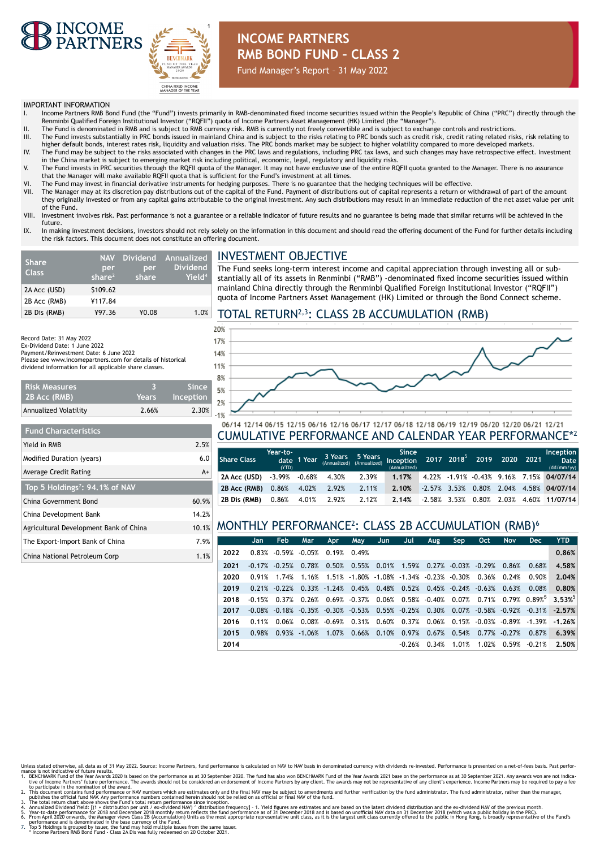



# **INCOME PARTNERS RMB BOND FUND – CLASS 2**

Fund Manager's Report – 31 May 2022

#### IMPORTANT INFORMATION

**Risk Measures 2B Acc (RMB)**

**Fund Characteristics**

**Top 5 Holdings7: 94.1% of NAV**

Record Date: 31 May 2022 Ex-Dividend Date: 1 June 2022 Payment/Reinvestment Date: 6 June 2022

- I. Income Partners RMB Bond Fund (the "Fund") invests primarily in RMB-denominated fixed income securities issued within the People's Republic of China ("PRC") directly through the Renminbi Qualified Foreign Institutional Investor ("RQFII") quota of Income Partners Asset Management (HK) Limited (the "Manager").
- II. The Fund is denominated in RMB and is subject to RMB currency risk. RMB is currently not freely convertible and is subject to exchange controls and restrictions.<br>III. The Fund invests substantially in PRC bonds
- higher default bonds, interest rates risk, liquidity and valuation risks. The PRC bonds market may be subject to higher volatility compared to more developed markets. IV. The Fund may be subject to the risks associated with changes in the PRC laws and regulations, including PRC tax laws, and such changes may have retrospective effect. Investment
- in the China market is subject to emerging market risk including political, economic, legal, regulatory and liquidity risks. V. The Fund invests in PRC securities through the RQFII quota of the Manager. It may not have exclusive use of the entire RQFII quota granted to the Manager. There is no assurance
- that the Manager will make available RQFII quota that is sufficient for the Fund's investment at all times.
- VI. The Fund may invest in financial derivative instruments for hedging purposes. There is no guarantee that the hedging techniques will be effective.
- The Manager may at its discretion pay distributions out of the capital of the Fund. Payment of distributions out of capital represents a return or withdrawal of part of the amount they originally invested or from any capital gains attributable to the original investment. Any such distributions may result in an immediate reduction of the net asset value per unit of the Fund.
- VIII. Investment involves risk. Past performance is not a guarantee or a reliable indicator of future results and no guarantee is being made that similar returns will be achieved in the future.
- IX. In making investment decisions, investors should not rely solely on the information in this document and should read the offering document of the Fund for further details including the risk factors. This document does not constitute an offering document.

| <b>Share</b><br><b>Class</b> | <b>NAV</b><br>per<br>share $2$ | per<br>share | Dividend Annualized<br>Dividend<br>Yield <sup>4</sup> |
|------------------------------|--------------------------------|--------------|-------------------------------------------------------|
| 2A Acc (USD)                 | \$109.62                       |              |                                                       |
| 2B Acc (RMB)                 | ¥117.84                        |              |                                                       |
| 2B Dis (RMB)                 | ¥97.36                         | ¥0.08        | 1.0%                                                  |

Please see www.incomepartners.com for details of historical dividend information for all applicable share classes.

Yield in RMB 2.5% Modified Duration (years) 6.0 Average Credit Rating A+

China Government Bond 60.9% China Development Bank 14.2%

The Export-Import Bank of China 7.9% China National Petroleum Corp 1.1%

**3 Years**

## INVESTMENT OBJECTIVE

The Fund seeks long-term interest income and capital appreciation through investing all or substantially all of its assets in Renminbi ("RMB") -denominated fixed income securities issued within mainland China directly through the Renminbi Qualified Foreign Institutional Investor ("RQFII") quota of Income Partners Asset Management (HK) Limited or through the Bond Connect scheme.

## TOTAL RETURN2,3: CLASS 2B ACCUMULATION (RMB)



### 06/14 12/14 06/15 12/15 06/16 12/16 06/17 12/17 06/18 12/18 06/19 12/19 06/20 12/20 06/21 12/21 CUMULATIVE PERFORMANCE AND CALENDAR YEAR PERFORMANCE\*<sup>2</sup>

| l Share Class . | Year-to-<br>(YTD)            | date 1 Year |             |       | Since<br>3 Years 5 Years 5 Mars 3111Ce<br>(Annualized) (Annualized) Inception 2017 2018 <sup>5</sup> 2019 2020 2021<br>(Annualized) |  |  | Inception<br><b>Date</b><br>(dd/mm/yy)     |
|-----------------|------------------------------|-------------|-------------|-------|-------------------------------------------------------------------------------------------------------------------------------------|--|--|--------------------------------------------|
| 2A Acc (USD)    | $-3.99\%$ $-0.68\%$ $4.30\%$ |             |             | 2.39% | 1.17%                                                                                                                               |  |  | 4.22% -1.91% -0.43% 9.16% 7.15% 04/07/14   |
| 2B Acc (RMB)    | $0.86\%$                     |             | 4.02% 2.92% | 2.11% | 2.10%                                                                                                                               |  |  | $-2.57\%$ 3.53% 0.80% 2.04% 4.58% 04/07/14 |
| 2B Dis (RMB)    | 0.86%                        |             | 4.01% 2.92% | 2.12% | 2.14%                                                                                                                               |  |  | $-2.58\%$ 3.53% 0.80% 2.03% 4.60% 11/07/14 |

#### Agricultural Development Bank of China 10.1% MONTHLY PERFORMANCE<sup>2</sup> : CLASS 2B ACCUMULATION (RMB)<sup>6</sup>

|      | Jan.      | Feb.                                     | Mar             | <b>Apr</b> | May                                                                                     | Jun. | Jul      | Aug                                   | Sep         | Oct.                                 | <b>Nov</b>                         | <b>Dec</b> | <b>YTD</b>                                                                      |
|------|-----------|------------------------------------------|-----------------|------------|-----------------------------------------------------------------------------------------|------|----------|---------------------------------------|-------------|--------------------------------------|------------------------------------|------------|---------------------------------------------------------------------------------|
| 2022 |           | $0.83\%$ $-0.59\%$ $-0.05\%$ 0.19% 0.49% |                 |            |                                                                                         |      |          |                                       |             |                                      |                                    |            | 0.86%                                                                           |
| 2021 |           | $-0.17\%$ $-0.25\%$                      |                 |            | $0.78\%$ 0.50% 0.55% 0.01% 1.59% 0.27% -0.03% -0.29% 0.86% 0.68%                        |      |          |                                       |             |                                      |                                    |            | 4.58%                                                                           |
| 2020 | 0.91%     | 1.74%                                    | 1.16%           |            | $1.51\%$ -1.80% -1.08% -1.34% -0.23% -0.30% 0.36%                                       |      |          |                                       |             |                                      | 0.24%                              | 0.90%      | 2.04%                                                                           |
| 2019 |           | $0.21\% - 0.22\%$                        |                 |            | $0.33\%$ -1.24% $0.45\%$ 0.48%                                                          |      |          | $0.52\%$ $0.45\%$ $-0.24\%$ $-0.63\%$ |             |                                      | 0.63%                              | 0.08%      | 0.80%                                                                           |
| 2018 | $-0.15%$  |                                          |                 |            |                                                                                         |      |          |                                       |             |                                      |                                    |            | $0.37\%$ 0.26% 0.69% -0.37% 0.06% 0.58% -0.40% 0.07% 0.71% 0.79% 0.89% 3.53% 0. |
| 2017 | $-0.08\%$ |                                          |                 |            | $-0.18\%$ $-0.35\%$ $-0.30\%$ $-0.53\%$ 0.55% $-0.25\%$ 0.30% 0.07% $-0.58\%$ $-0.92\%$ |      |          |                                       |             |                                      |                                    | $-0.31\%$  | $-2.57%$                                                                        |
| 2016 | 0.11%     | 0.06%                                    |                 |            | $0.08\%$ $-0.69\%$ $0.31\%$ $0.60\%$                                                    |      |          |                                       |             |                                      | $0.37\%$ 0.06% 0.15% -0.03% -0.89% | $-1.39\%$  | $-1.26%$                                                                        |
| 2015 | 0.98%     |                                          | $0.93\%$ -1.06% |            | $1.07\%$ 0.66% 0.10%                                                                    |      | 0.97%    |                                       |             | $0.67\%$ $0.54\%$ $0.77\%$ $-0.27\%$ |                                    | 0.87%      | 6.39%                                                                           |
| 2014 |           |                                          |                 |            |                                                                                         |      | $-0.26%$ |                                       | 0.34% 1.01% |                                      | 1.02% 0.59%                        | $-0.21%$   | 2.50%                                                                           |

- Unless stated otherwise, all data as of 31 May 2022. Source: Income Partners, fund performance is calculated on NAV to NAV basis in denominated currency with dividends re-invested. Performance is presented on a net-of-fees
- 
- 
- performance and is denominated in the base currency of the Fund.<br>7. "Top 5 Holdings is grouped by issuer, the fund may hold multiple issues from the same issuer.<br>8. "Income Partners RMB Bond Fund Class 2A Dis was fully r
-